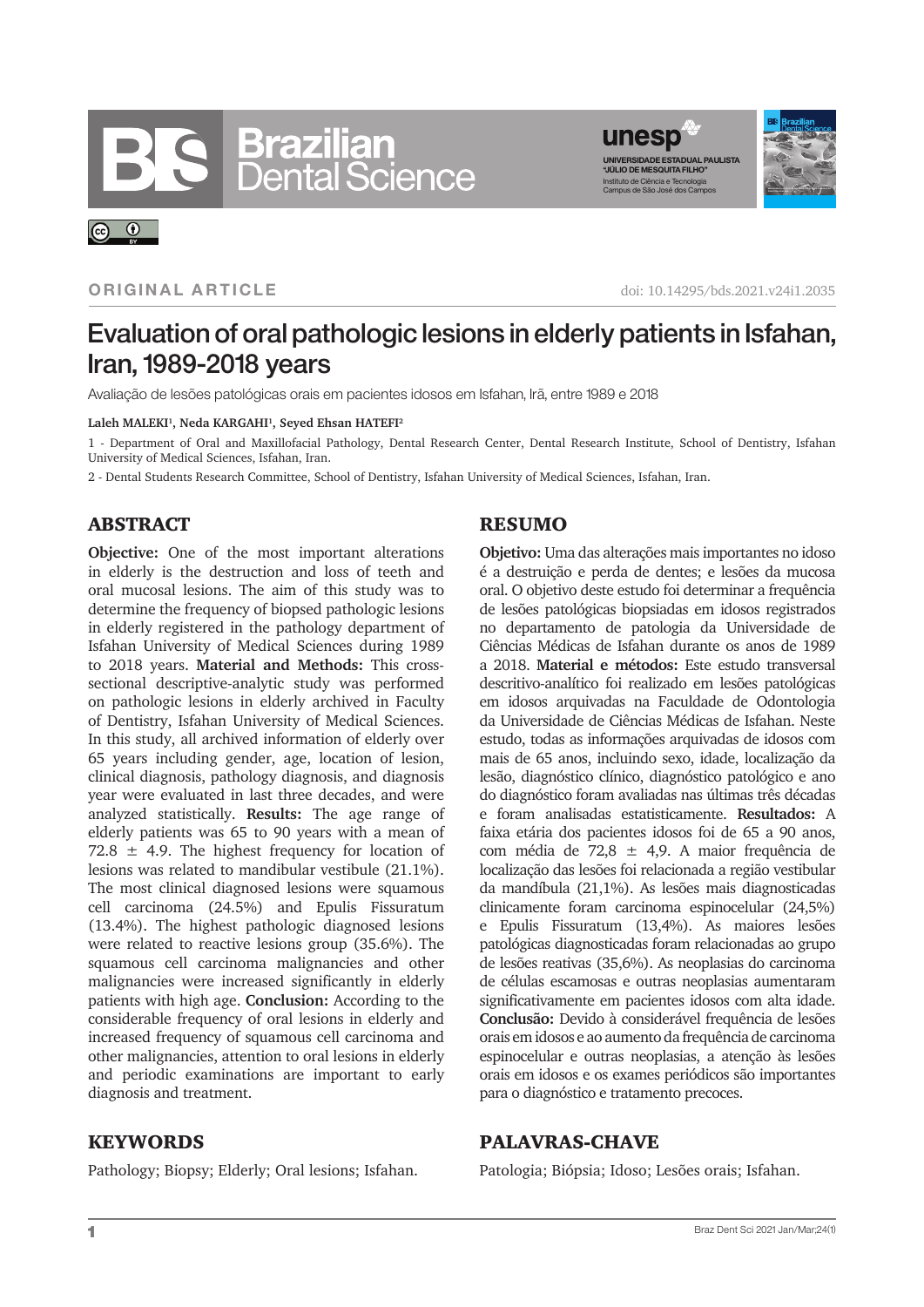# **Brazilian**<br>Dental Science



#### **ORIGINAL ARTICLE**

 $\odot$ 

doi: 10.14295/bds.2021.v24i1.2035

# Evaluation of oral pathologic lesions in elderly patients in Isfahan, Iran, 1989-2018 years

Avaliação de lesões patológicas orais em pacientes idosos em Isfahan, Irã, entre 1989 e 2018

#### **Laleh MALEKI1, Neda KARGAHI1, Seyed Ehsan HATEFI2**

1 - Department of Oral and Maxillofacial Pathology, Dental Research Center, Dental Research Institute, School of Dentistry, Isfahan University of Medical Sciences, Isfahan, Iran.

2 - Dental Students Research Committee, School of Dentistry, Isfahan University of Medical Sciences, Isfahan, Iran.

#### ABSTRACT

**Objective:** One of the most important alterations in elderly is the destruction and loss of teeth and oral mucosal lesions. The aim of this study was to determine the frequency of biopsed pathologic lesions in elderly registered in the pathology department of Isfahan University of Medical Sciences during 1989 to 2018 years. **Material and Methods:** This crosssectional descriptive-analytic study was performed on pathologic lesions in elderly archived in Faculty of Dentistry, Isfahan University of Medical Sciences. In this study, all archived information of elderly over 65 years including gender, age, location of lesion, clinical diagnosis, pathology diagnosis, and diagnosis year were evaluated in last three decades, and were analyzed statistically. **Results:** The age range of elderly patients was 65 to 90 years with a mean of 72.8  $\pm$  4.9. The highest frequency for location of lesions was related to mandibular vestibule (21.1%). The most clinical diagnosed lesions were squamous cell carcinoma (24.5%) and Epulis Fissuratum (13.4%). The highest pathologic diagnosed lesions were related to reactive lesions group (35.6%). The squamous cell carcinoma malignancies and other malignancies were increased significantly in elderly patients with high age. **Conclusion:** According to the considerable frequency of oral lesions in elderly and increased frequency of squamous cell carcinoma and other malignancies, attention to oral lesions in elderly and periodic examinations are important to early diagnosis and treatment.

### RESUMO

**Objetivo:** Uma das alterações mais importantes no idoso é a destruição e perda de dentes; e lesões da mucosa oral. O objetivo deste estudo foi determinar a frequência de lesões patológicas biopsiadas em idosos registrados no departamento de patologia da Universidade de Ciências Médicas de Isfahan durante os anos de 1989 a 2018. **Material e métodos:** Este estudo transversal descritivo-analítico foi realizado em lesões patológicas em idosos arquivadas na Faculdade de Odontologia da Universidade de Ciências Médicas de Isfahan. Neste estudo, todas as informações arquivadas de idosos com mais de 65 anos, incluindo sexo, idade, localização da lesão, diagnóstico clínico, diagnóstico patológico e ano do diagnóstico foram avaliadas nas últimas três décadas e foram analisadas estatisticamente. **Resultados:** A faixa etária dos pacientes idosos foi de 65 a 90 anos, com média de 72,8 ± 4,9. A maior frequência de localização das lesões foi relacionada a região vestibular da mandíbula (21,1%). As lesões mais diagnosticadas clinicamente foram carcinoma espinocelular (24,5%) e Epulis Fissuratum (13,4%). As maiores lesões patológicas diagnosticadas foram relacionadas ao grupo de lesões reativas (35,6%). As neoplasias do carcinoma de células escamosas e outras neoplasias aumentaram significativamente em pacientes idosos com alta idade. **Conclusão:** Devido à considerável frequência de lesões orais em idosos e ao aumento da frequência de carcinoma espinocelular e outras neoplasias, a atenção às lesões orais em idosos e os exames periódicos são importantes para o diagnóstico e tratamento precoces.

#### **KEYWORDS**

Pathology; Biopsy; Elderly; Oral lesions; Isfahan.

# PALAVRAS-CHAVE

Patologia; Biópsia; Idoso; Lesões orais; Isfahan.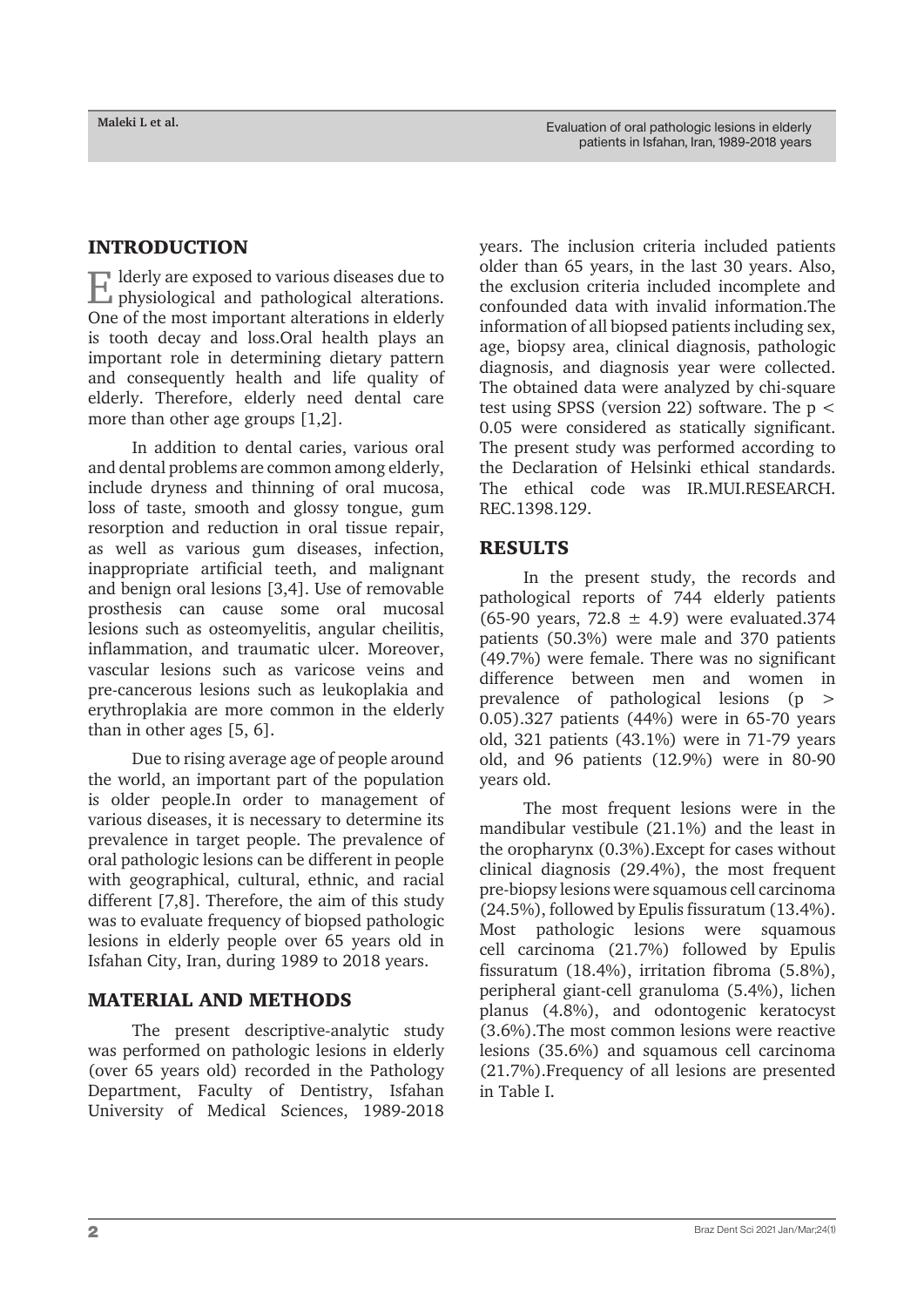#### INTRODUCTION

Elderly are exposed to various diseases due to physiological and pathological alterations. One of the most important alterations in elderly is tooth decay and loss.Oral health plays an important role in determining dietary pattern and consequently health and life quality of elderly. Therefore, elderly need dental care more than other age groups [1,2].

In addition to dental caries, various oral and dental problems are common among elderly, include dryness and thinning of oral mucosa, loss of taste, smooth and glossy tongue, gum resorption and reduction in oral tissue repair, as well as various gum diseases, infection, inappropriate artificial teeth, and malignant and benign oral lesions [3,4]. Use of removable prosthesis can cause some oral mucosal lesions such as osteomyelitis, angular cheilitis, inflammation, and traumatic ulcer. Moreover, vascular lesions such as varicose veins and pre-cancerous lesions such as leukoplakia and erythroplakia are more common in the elderly than in other ages [5, 6].

Due to rising average age of people around the world, an important part of the population is older people.In order to management of various diseases, it is necessary to determine its prevalence in target people. The prevalence of oral pathologic lesions can be different in people with geographical, cultural, ethnic, and racial different [7,8]. Therefore, the aim of this study was to evaluate frequency of biopsed pathologic lesions in elderly people over 65 years old in Isfahan City, Iran, during 1989 to 2018 years.

#### MATERIAL AND METHODS

The present descriptive-analytic study was performed on pathologic lesions in elderly (over 65 years old) recorded in the Pathology Department, Faculty of Dentistry, Isfahan University of Medical Sciences, 1989-2018

years. The inclusion criteria included patients older than 65 years, in the last 30 years. Also, the exclusion criteria included incomplete and confounded data with invalid information.The information of all biopsed patients including sex, age, biopsy area, clinical diagnosis, pathologic diagnosis, and diagnosis year were collected. The obtained data were analyzed by chi-square test using SPSS (version 22) software. The p < 0.05 were considered as statically significant. The present study was performed according to the Declaration of Helsinki ethical standards. The ethical code was IR.MUI.RESEARCH. REC.1398.129.

### RESULTS

In the present study, the records and pathological reports of 744 elderly patients (65-90 years, 72.8  $\pm$  4.9) were evaluated.374 patients (50.3%) were male and 370 patients (49.7%) were female. There was no significant difference between men and women in prevalence of pathological lesions (p > 0.05).327 patients (44%) were in 65-70 years old, 321 patients (43.1%) were in 71-79 years old, and 96 patients (12.9%) were in 80-90 years old.

The most frequent lesions were in the mandibular vestibule (21.1%) and the least in the oropharynx (0.3%).Except for cases without clinical diagnosis (29.4%), the most frequent pre-biopsy lesions were squamous cell carcinoma (24.5%), followed by Epulis fissuratum (13.4%). Most pathologic lesions were squamous cell carcinoma (21.7%) followed by Epulis fissuratum (18.4%), irritation fibroma (5.8%), peripheral giant-cell granuloma (5.4%), lichen planus (4.8%), and odontogenic keratocyst (3.6%).The most common lesions were reactive lesions (35.6%) and squamous cell carcinoma (21.7%).Frequency of all lesions are presented in Table I.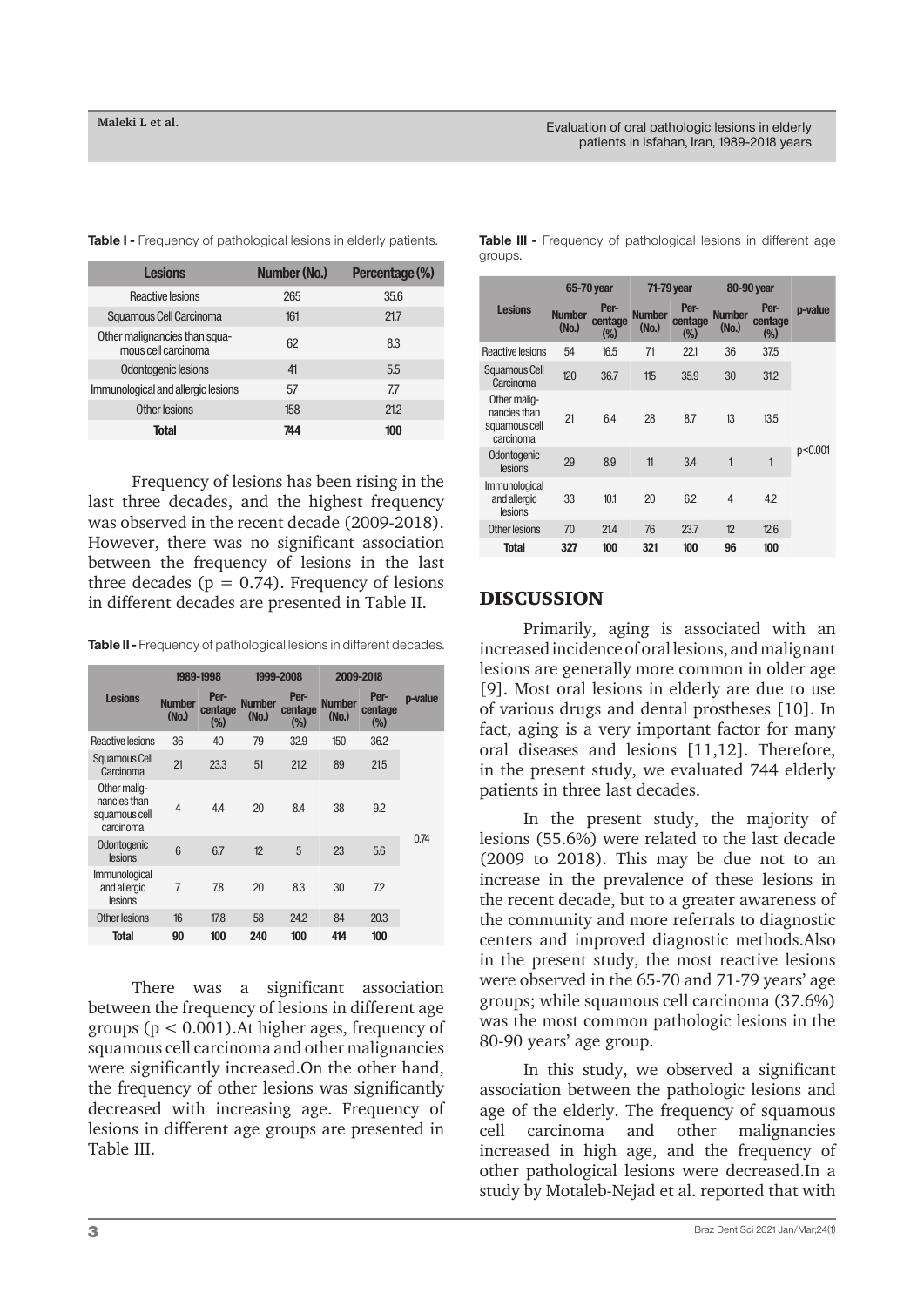| <b>Lesions</b>                                       | <b>Number (No.)</b> | Percentage (%) |
|------------------------------------------------------|---------------------|----------------|
| Reactive lesions                                     | 265                 | 35.6           |
| Squamous Cell Carcinoma                              | 161                 | 21.7           |
| Other malignancies than squa-<br>mous cell carcinoma | 62                  | 8.3            |
| Odontogenic lesions                                  | 41                  | 5.5            |
| Immunological and allergic lesions                   | 57                  | 7.7            |
| Other lesions                                        | 158                 | 21.2           |
| <b>Total</b>                                         | 744                 | 100            |

**Table I -** Frequency of pathological lesions in elderly patients.

Frequency of lesions has been rising in the last three decades, and the highest frequency was observed in the recent decade (2009-2018). However, there was no significant association between the frequency of lesions in the last three decades ( $p = 0.74$ ). Frequency of lesions in different decades are presented in Table II.

**Table II -** Frequency of pathological lesions in different decades.

|                                                            | 1989-1998                          |                            | 1999-2008                          |                            | 2009-2018                          |                           |         |
|------------------------------------------------------------|------------------------------------|----------------------------|------------------------------------|----------------------------|------------------------------------|---------------------------|---------|
| <b>Lesions</b>                                             | <b>Number</b><br>(N <sub>0</sub> ) | Per-<br>centage<br>$(\% )$ | <b>Number</b><br>(N <sub>0</sub> ) | Per-<br>centage<br>$(\% )$ | <b>Number</b><br>(N <sub>0</sub> ) | Per-<br>centage<br>$(\%)$ | p-value |
| Reactive lesions                                           | 36                                 | 40                         | 79                                 | 32.9                       | 150                                | 36.2                      |         |
| Squamous Cell<br>Carcinoma                                 | 21                                 | 23.3                       | 51                                 | 21.2                       | 89                                 | 21.5                      |         |
| Other malig-<br>nancies than<br>squamous cell<br>carcinoma | 4                                  | 44                         | 20                                 | 8.4                        | 38                                 | 9.2                       |         |
| Odontogenic<br>lesions                                     | 6                                  | 6.7                        | 12                                 | 5                          | 23                                 | 5.6                       | 0.74    |
| <i>Immunological</i><br>and allergic<br>lesions            | $\overline{7}$                     | 7.8                        | 20                                 | 8.3                        | 30                                 | 72                        |         |
| Other lesions                                              | 16                                 | 17.8                       | 58                                 | 24.2                       | 84                                 | 20.3                      |         |
| <b>Total</b>                                               | 90                                 | 100                        | 240                                | 100                        | 414                                | 100                       |         |
|                                                            |                                    |                            |                                    |                            |                                    |                           |         |

There was a significant association between the frequency of lesions in different age groups ( $p < 0.001$ ). At higher ages, frequency of squamous cell carcinoma and other malignancies were significantly increased.On the other hand, the frequency of other lesions was significantly decreased with increasing age. Frequency of lesions in different age groups are presented in Table III.

|                                                            | 65-70 year                         |                        | 71-79 year                         |                        | 80-90 year                         |                           |         |
|------------------------------------------------------------|------------------------------------|------------------------|------------------------------------|------------------------|------------------------------------|---------------------------|---------|
| <b>Lesions</b>                                             | <b>Number</b><br>(N <sub>0</sub> ) | Per-<br>centage<br>(%) | <b>Number</b><br>(N <sub>0</sub> ) | Per-<br>centage<br>(%) | <b>Number</b><br>(N <sub>0</sub> ) | Per-<br>centage<br>$(\%)$ | p-value |
| Reactive lesions                                           | 54                                 | 16.5                   | 71                                 | 221                    | 36                                 | 37.5                      |         |
| Squamous Cell<br>Carcinoma                                 | 120                                | 36.7                   | 115                                | 35.9                   | 30                                 | 31.2                      |         |
| Other malig-<br>nancies than<br>squamous cell<br>carcinoma | 21                                 | 6.4                    | 28                                 | 8.7                    | 13                                 | 13.5                      |         |
| Odontogenic<br>lesions                                     | 29                                 | 8.9                    | 11                                 | 3.4                    | 1                                  | 1                         | p<0.001 |
| <i>Immunological</i><br>and allergic<br>lesions            | 33                                 | 10.1                   | 20                                 | 6.2                    | $\overline{4}$                     | 4.2                       |         |
| Other lesions                                              | 70                                 | 21.4                   | 76                                 | 23.7                   | 12                                 | 12.6                      |         |
| <b>Total</b>                                               | 327                                | 100                    | 321                                | 100                    | 96                                 | 100                       |         |

**Table III -** Frequency of pathological lesions in different age groups.

### DISCUSSION

Primarily, aging is associated with an increased incidence of oral lesions, and malignant lesions are generally more common in older age [9]. Most oral lesions in elderly are due to use of various drugs and dental prostheses [10]. In fact, aging is a very important factor for many oral diseases and lesions [11,12]. Therefore, in the present study, we evaluated 744 elderly patients in three last decades.

In the present study, the majority of lesions (55.6%) were related to the last decade (2009 to 2018). This may be due not to an increase in the prevalence of these lesions in the recent decade, but to a greater awareness of the community and more referrals to diagnostic centers and improved diagnostic methods.Also in the present study, the most reactive lesions were observed in the 65-70 and 71-79 years' age groups; while squamous cell carcinoma (37.6%) was the most common pathologic lesions in the 80-90 years' age group.

In this study, we observed a significant association between the pathologic lesions and age of the elderly. The frequency of squamous cell carcinoma and other malignancies increased in high age, and the frequency of other pathological lesions were decreased.In a study by Motaleb-Nejad et al. reported that with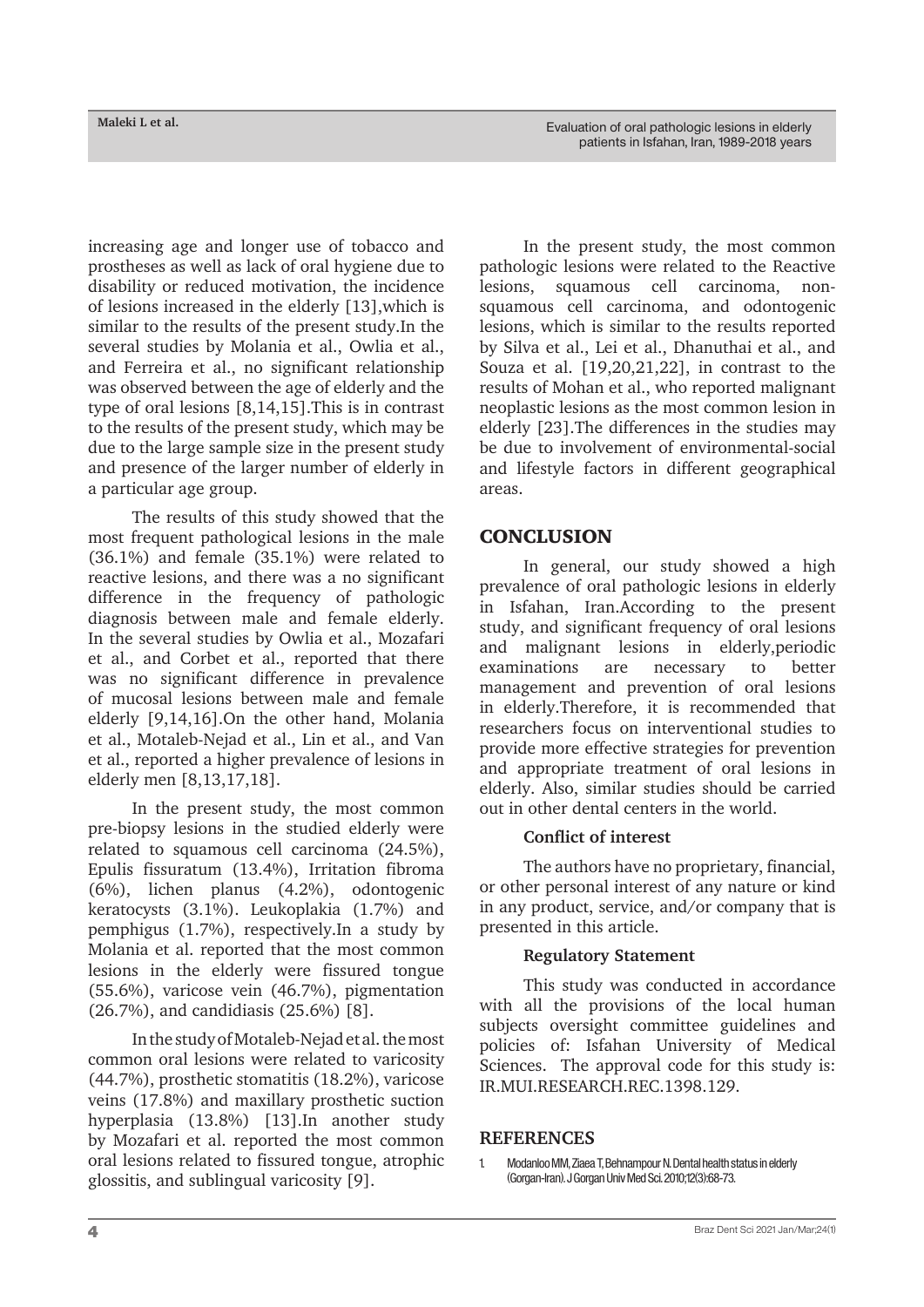increasing age and longer use of tobacco and prostheses as well as lack of oral hygiene due to disability or reduced motivation, the incidence of lesions increased in the elderly [13],which is similar to the results of the present study.In the several studies by Molania et al., Owlia et al., and Ferreira et al., no significant relationship was observed between the age of elderly and the type of oral lesions [8,14,15].This is in contrast to the results of the present study, which may be due to the large sample size in the present study and presence of the larger number of elderly in a particular age group.

The results of this study showed that the most frequent pathological lesions in the male (36.1%) and female (35.1%) were related to reactive lesions, and there was a no significant difference in the frequency of pathologic diagnosis between male and female elderly. In the several studies by Owlia et al., Mozafari et al., and Corbet et al., reported that there was no significant difference in prevalence of mucosal lesions between male and female elderly [9,14,16].On the other hand, Molania et al., Motaleb-Nejad et al., Lin et al., and Van et al., reported a higher prevalence of lesions in elderly men [8,13,17,18].

In the present study, the most common pre-biopsy lesions in the studied elderly were related to squamous cell carcinoma (24.5%), Epulis fissuratum (13.4%), Irritation fibroma (6%), lichen planus (4.2%), odontogenic keratocysts (3.1%). Leukoplakia (1.7%) and pemphigus (1.7%), respectively.In a study by Molania et al. reported that the most common lesions in the elderly were fissured tongue (55.6%), varicose vein (46.7%), pigmentation (26.7%), and candidiasis (25.6%) [8].

In the study of Motaleb-Nejad et al. the most common oral lesions were related to varicosity (44.7%), prosthetic stomatitis (18.2%), varicose veins (17.8%) and maxillary prosthetic suction hyperplasia (13.8%) [13].In another study by Mozafari et al. reported the most common oral lesions related to fissured tongue, atrophic glossitis, and sublingual varicosity [9].

In the present study, the most common pathologic lesions were related to the Reactive lesions, squamous cell carcinoma, nonsquamous cell carcinoma, and odontogenic lesions, which is similar to the results reported by Silva et al., Lei et al., Dhanuthai et al., and Souza et al. [19,20,21,22], in contrast to the results of Mohan et al., who reported malignant neoplastic lesions as the most common lesion in elderly [23].The differences in the studies may be due to involvement of environmental-social and lifestyle factors in different geographical areas.

# **CONCLUSION**

In general, our study showed a high prevalence of oral pathologic lesions in elderly in Isfahan, Iran.According to the present study, and significant frequency of oral lesions and malignant lesions in elderly,periodic examinations are necessary to better management and prevention of oral lesions in elderly.Therefore, it is recommended that researchers focus on interventional studies to provide more effective strategies for prevention and appropriate treatment of oral lesions in elderly. Also, similar studies should be carried out in other dental centers in the world.

### **Conflict of interest**

The authors have no proprietary, financial, or other personal interest of any nature or kind in any product, service, and/or company that is presented in this article.

### **Regulatory Statement**

This study was conducted in accordance with all the provisions of the local human subjects oversight committee guidelines and policies of: Isfahan University of Medical Sciences. The approval code for this study is: IR.MUI.RESEARCH.REC.1398.129.

#### **REFERENCES**

1. Modanloo MM, Ziaea T, Behnampour N. Dental health status in elderly (Gorgan-Iran). J Gorgan Univ Med Sci. 2010;12(3):68-73.